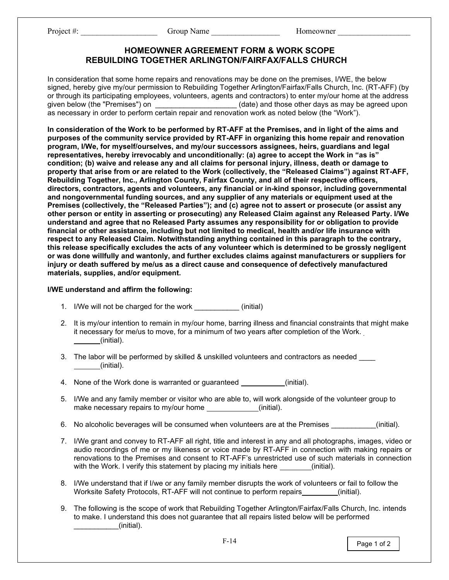Project #: The Croup Name The Croup Name Homeowner All Box 2014

## **HOMEOWNER AGREEMENT FORM & WORK SCOPE REBUILDING TOGETHER ARLINGTON/FAIRFAX/FALLS CHURCH**

In consideration that some home repairs and renovations may be done on the premises, I/WE, the below signed, hereby give my/our permission to Rebuilding Together Arlington/Fairfax/Falls Church, Inc. (RT-AFF) (by or through its participating employees, volunteers, agents and contractors) to enter my/our home at the address<br>given below (the "Premises") on \_\_\_\_\_\_\_\_\_\_\_\_\_\_\_\_\_\_\_\_\_\_(date) and those other days as may be agreed upon given below (the "Premises") and those other days as may be agreed upon as necessary in order to perform certain repair and renovation work as noted below (the "Work").

**In consideration of the Work to be performed by RT-AFF at the Premises, and in light of the aims and purposes of the community service provided by RT-AFF in organizing this home repair and renovation program, I/We, for myself/ourselves, and my/our successors assignees, heirs, guardians and legal representatives, hereby irrevocably and unconditionally: (a) agree to accept the Work in "as is" condition; (b) waive and release any and all claims for personal injury, illness, death or damage to property that arise from or are related to the Work (collectively, the "Released Claims") against RT-AFF, Rebuilding Together, Inc., Arlington County, Fairfax County, and all of their respective officers, directors, contractors, agents and volunteers, any financial or in-kind sponsor, including governmental and nongovernmental funding sources, and any supplier of any materials or equipment used at the Premises (collectively, the "Released Parties"); and (c) agree not to assert or prosecute (or assist any other person or entity in asserting or prosecuting) any Released Claim against any Released Party. I/We understand and agree that no Released Party assumes any responsibility for or obligation to provide financial or other assistance, including but not limited to medical, health and/or life insurance with respect to any Released Claim. Notwithstanding anything contained in this paragraph to the contrary, this release specifically excludes the acts of any volunteer which is determined to be grossly negligent or was done willfully and wantonly, and further excludes claims against manufacturers or suppliers for injury or death suffered by me/us as a direct cause and consequence of defectively manufactured materials, supplies, and/or equipment.**

## **I/WE understand and affirm the following:**

- 1. I/We will not be charged for the work \_\_\_\_\_\_\_\_\_\_\_ (initial)
- 2. It is my/our intention to remain in my/our home, barring illness and financial constraints that might make it necessary for me/us to move, for a minimum of two years after completion of the Work. (initial).
- 3. The labor will be performed by skilled & unskilled volunteers and contractors as needed \_\_\_\_ (initial).
- 4. None of the Work done is warranted or guaranteed (initial).
- 5. I/We and any family member or visitor who are able to, will work alongside of the volunteer group to make necessary repairs to my/our home (initial).
- 6. No alcoholic beverages will be consumed when volunteers are at the Premises (initial).
- 7. I/We grant and convey to RT-AFF all right, title and interest in any and all photographs, images, video or audio recordings of me or my likeness or voice made by RT-AFF in connection with making repairs or renovations to the Premises and consent to RT-AFF's unrestricted use of such materials in connection with the Work. I verify this statement by placing my initials here  $\qquad$  (initial).
- 8. I/We understand that if I/we or any family member disrupts the work of volunteers or fail to follow the Worksite Safety Protocols, RT-AFF will not continue to perform repairs (initial).
- 9. The following is the scope of work that Rebuilding Together Arlington/Fairfax/Falls Church, Inc. intends to make. I understand this does not guarantee that all repairs listed below will be performed  $(i$ nitial).

Page 1 of 2